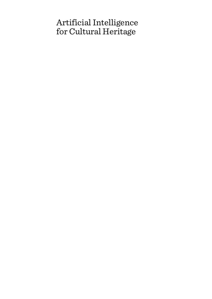# Artificial Intelligence for Cultural Heritage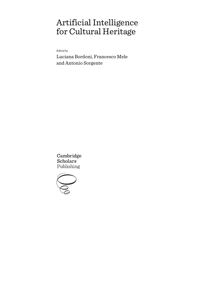# Artificial Intelligence for Cultural Heritage

Edited by

Luciana Bordoni, Francesco Mele and Antonio Sorgente

Cambridge **Scholars** Publishing

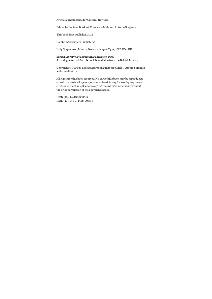Artificial Intelligence for Cultural Heritage

Edited by Luciana Bordoni, Francesco Mele and Antonio Sorgente

This book first published 2016

Cambridge Scholars Publishing

Lady Stephenson Library, Newcastle upon Tyne, NE6 2PA, UK

British Library Cataloguing in Publication Data A catalogue record for this book is available from the British Library

Copyright © 2016 by Luciana Bordoni, Francesco Mele, Antonio Sorgente and contributors

All rights for this book reserved. No part of this book may be reproduced, stored in a retrieval system, or transmitted, in any form or by any means, electronic, mechanical, photocopying, recording or otherwise, without the prior permission of the copyright owner.

ISBN (10): 1-4438-9085-5 ISBN (13): 978-1-4438-9085-4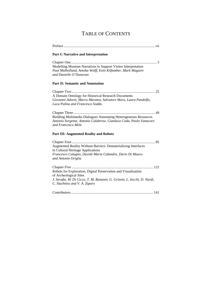## TABLE OF CONTENTS

Preface ...................................................................................................... vii **Part I: Narrative and Interpretation**  Chapter One ................................................................................................ 3 Modelling Museum Narratives to Support Visitor Interpretation *Paul Mulholland, Annika Wolff, Eoin Kilfeather, Mark Maguire and Danielle O'Donovan*  **Part II: Semantic and Annotation**  Chapter Two ............................................................................................. 25 A Domain Ontology for Historical Research Documents *Giovanni Adorni, Marco Maratea, Salvatore Mura, Laura Pandolfo, Luca Pulina and Francesco Soddu*  Chapter Three ........................................................................................... 49 Building Multimedia Dialogues Annotating Heterogeneous Resources *Antonio Sorgente, Antonio Calabrese, Gianluca Coda, Paolo Vanacore and Francesco Mele*  **Part III: Augmented Reality and Robots**  Chapter Four ............................................................................................. 85 Augmented Reality Without Barriers: Dematerializing Interfaces in Cultural Heritage Applications *Francesco Cutugno, Davide Maria Calandra, Dario Di Mauro and Antonio Origlia*  Chapter Five ........................................................................................... 121 Robots for Exploration, Digital Preservation and Visualization of Archeological Sites *J. Serafin, M. Di Cicco, T. M. Bonanni, G. Grisetti, L. Iocchi, D. Nardi, C. Stachniss and V. A. Ziparo*  Contributors ............................................................................................ 141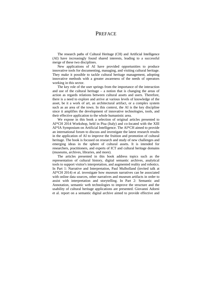### **PREFACE**

The research paths of Cultural Heritage (CH) and Artificial Intelligence (AI) have increasingly found shared interests, leading to a successful merge of these two disciplines.

New applications of AI have provided opportunities to produce innovative tools for documenting, managing, and visiting cultural heritage. They make it possible to tackle cultural heritage management, adopting innovative methods with a greater awareness of the needs of operators working in this sector.

The key role of the user springs from the importance of the interaction and use of the cultural heritage – a notion that is changing the areas of action as regards relations between cultural assets and users. Therefore, there is a need to explore and arrive at various levels of knowledge of the asset, be it a work of art, an architectural artifact, or a complex system such as an area of the town. In this context, the AI is the key discipline since it amplifies the development of innovative technologies, tools, and their effective application to the whole humanistic area.

We expose in this book a selection of original articles presented to AI\*CH 2014 Workshop, held in Pisa (Italy) and co-located with the XIII AI\*IA Symposium on Artificial Intelligence. The AI\*CH aimed to provide an international forum to discuss and investigate the latest research results in the application of AI to improve the fruition and promotion of cultural heritage. The book is focused on research and study of new challenges and emerging ideas in the sphere of cultural assets. It is intended for researchers, practitioners, and experts of ICT and cultural heritage domains (museums, archives, libraries, and more).

The articles presented in this book address topics such as the representation of cultural history, digital semantic archives, analytical tools to support visitor's interpretation, and augmented reality and robotics. In Part 1: Narrative and Interpretation, Paul Mulholland (invited talk at AI\*CH 2014) et al. investigate how museum narratives can be associated with online data sources, other narratives and museum artifacts in order to assist with interpretation and storytelling. In Part 2: Semantic and Annotation, semantic web technologies to improve the structure and the usability of cultural heritage applications are presented. Giovanni Adorni et al. report on a semantic digital archive aimed to provide effective and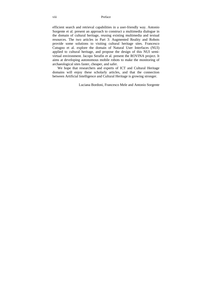efficient search and retrieval capabilities in a user-friendly way. Antonio Sorgente et al. present an approach to construct a multimedia dialogue in the domain of cultural heritage, reusing existing multimedia and textual resources. The two articles in Part 3: Augmented Reality and Robots provide some solutions to visiting cultural heritage sites. Francesco Cutugno et al. explore the domain of Natural User Interfaces (NUI) applied to cultural heritage, and propose the design of this NUI semivirtual environment. Jacopo Serafin et al. present the ROVINA project. It aims at developing autonomous mobile robots to make the monitoring of archaeological sites faster, cheaper, and safer.

We hope that researchers and experts of ICT and Cultural Heritage domains will enjoy these scholarly articles, and that the connection between Artificial Intelligence and Cultural Heritage is growing stronger.

Luciana Bordoni, Francesco Mele and Antonio Sorgente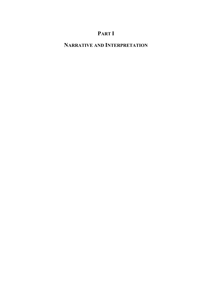## **PART I**

## **NARRATIVE AND INTERPRETATION**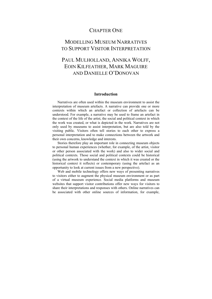### CHAPTER ONE

## MODELLING MUSEUM NARRATIVES TO SUPPORT VISITOR INTERPRETATION

## PAUL MULHOLLAND, ANNIKA WOLFF, EOIN KILFEATHER, MARK MAGUIRE AND DANIELLE O'DONOVAN

#### **Introduction**

Narratives are often used within the museum environment to assist the interpretation of museum artefacts. A narrative can provide one or more contexts within which an artefact or collection of artefacts can be understood. For example, a narrative may be used to frame an artefact in the context of the life of the artist, the social and political context in which the work was created, or what is depicted in the work. Narratives are not only used by museums to assist interpretation, but are also told by the visiting public. Visitors often tell stories to each other to express a personal interpretation and to make connections between the artwork and their own concerns, knowledge and interests.

Stories therefore play an important role in connecting museum objects to personal human experiences (whether, for example, of the artist, visitor or other person associated with the work) and also to wider social and political contexts. Those social and political contexts could be historical (using the artwork to understand the context in which it was created or the historical context it reflects) or contemporary (using the artefact as an opportunity to look at current issues from a new perspective).

Web and mobile technology offers new ways of presenting narratives to visitors either to augment the physical museum environment or as part of a virtual museum experience. Social media platforms and museum websites that support visitor contributions offer new ways for visitors to share their interpretations and responses with others. Online narratives can be associated with other online sources of information, for example,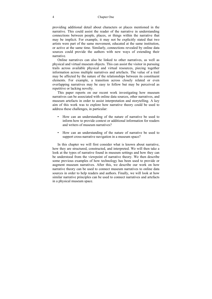providing additional detail about characters or places mentioned in the narrative. This could assist the reader of the narrative in understanding connections between people, places, or things within the narrative that may be implicit. For example, it may not be explicitly stated that two artists were part of the same movement, educated at the same institution, or active at the same time. Similarly, connections revealed by online data sources could provide the authors with new ways of extending their narrative.

Online narratives can also be linked to other narratives, as well as physical and virtual museum objects. This can assist the visitor in pursuing trails across available physical and virtual resources, piecing together information across multiple narratives and artefacts. The value of a trail may be affected by the nature of the relationships between its constituent elements. For example, a transition across closely related or even overlapping narratives may be easy to follow but may be perceived as repetitive or lacking novelty.

This paper reports on our recent work investigating how museum narratives can be associated with online data sources, other narratives, and museum artefacts in order to assist interpretation and storytelling. A key aim of this work was to explore how narrative theory could be used to address these challenges, in particular:

- How can an understanding of the nature of narrative be used to inform how to provide context or additional information for readers and writers of museum narratives?
- How can an understanding of the nature of narrative be used to support cross-narrative navigation in a museum space?

In this chapter we will first consider what is known about narrative, how they are structured, constructed, and interpreted. We will then take a look at the types of narrative found in museum settings and how they can be understood from the viewpoint of narrative theory. We then describe some previous examples of how technology has been used to provide or augment museum narratives. After this, we describe our work on how narrative theory can be used to connect museum narratives to online data sources in order to help readers and authors. Finally, we will look at how similar narrative principles can be used to connect narratives and artefacts in a physical museum space.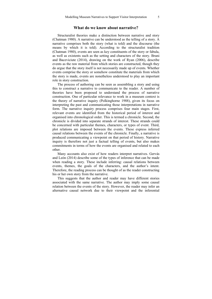#### **What do we know about narrative?**

Structuralist theories make a distinction between narrative and story (Chatman 1980). A narrative can be understood as the telling of a story. A narrative comprises both the story (what is told) and the discourse (the means by which it is told). According to the structuralist tradition (Chatman 1980), events are seen as key constituents of the story or fabula, as well as existents such as the setting and characters of the story. Bruni and Baceviciute (2014), drawing on the work of Ryan (2006), describe events as the raw material from which stories are constructed, though they do argue that the story itself is not necessarily made up of events. Whether events comprise the story or somehow constitute the materials from which the story is made, events are nonetheless understood to play an important role in story construction.

The process of authoring can be seen as assembling a story and using this to construct a narrative to communicate to the reader. A number of theories have been proposed to understand the process of narrative construction. One of particular relevance to work in a museum context is the theory of narrative inquiry (Polkinghorne 1988), given its focus on interpreting the past and communicating those interpretations in narrative form. The narrative inquiry process comprises four main stages. First, relevant events are identified from the historical period of interest and organised into chronological order. This is termed a chronicle. Second, the chronicle is divided into separate strands of interest. These strands could be concerned with particular themes, characters, or types of event. Third, plot relations are imposed between the events. These express inferred causal relations between the events of the chronicle. Finally, a narrative is produced communicating a viewpoint on that period of history. Narrative inquiry is therefore not just a factual telling of events, but also makes commitments in terms of how the events are organised and related to each other.

Many accounts also exist of how readers interpret narratives. Gervás and León (2014) describe some of the types of inference that can be made when reading a story. These include inferring: causal relations between events, themes, the goals of the characters, and the author's intent. Therefore, the reading process can be thought of as the reader constructing his or her own story from the narrative.

This suggests that the author and reader may have different stories associated with the same narrative. The author may imply some causal relation between the events of the story. However, the reader may infer an alternative causal network due to their viewpoint and the inferential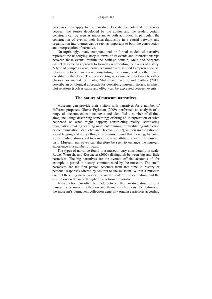processes they apply to the narrative. Despite the potential differences between the stories developed by the author and the reader, certain constructs can be seen as important to both activities. In particular, the construction of events, their interrelationship in a causal network and organisation into themes can be seen as important to both the construction and interpretation of narrative.

Unsurprisingly, many computational or formal models of narrative represent the underlying story in terms of its events and interrelationships between those events. Within the heritage domain, Mele and Sorgente (2012) describe an approach to formally representing the events of a story. A type of complex event, termed a causal event, is used to represent causal relations between an event constituting the cause, and another event constituting the effect. The events acting as a cause or effect may be either physical or mental. Similarly, Mulholland, Wolff, and Collins (2012) describe an ontological approach for describing museum stories, in which plot relations (such as cause and effect) can be expressed between events.

#### **The nature of museum narratives**

Museums can provide their visitors with narratives for a number of different purposes. Glover Frykman (2009) performed an analysis of a range of museum educational texts and identified a number of distinct aims, including: describing something; offering an interpretation of what happened or what might happen; constructing reality; stimulating imagination; making learning more entertaining; or facilitating interaction or communication. Van Vliet and Hekman (2012), in their investigation of social tagging and storytelling in museums, found that viewing, listening to, or reading stories led to a more positive attitude toward the museum visit. Museum narratives can therefore be seen to enhance the museum experience in a number of ways.

The types of narrative found in a museum vary considerably in scale. Rowe, Wertsch, and Kosyaeva (2002) distinguish between big and little narratives. The big narratives are the overall, official accounts of, for example, a period in history, communicated by the museum. The small narratives are the first person accounts from that time in history or personal responses offered by visitors to the museum. Within a museum context these big narratives can be on the scale of the exhibition, and the exhibition itself can be thought of as a form of narrative.

A distinction can often be made between the narrative structure of a museum's permanent collection and thematic exhibitions. Exhibitions of the museum's permanent collection generally organise artefacts according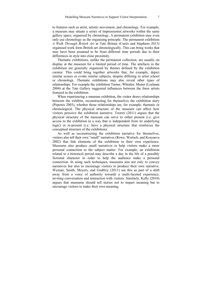to features such as artist, artistic movement, and chronology. For example, a museum may situate a series of impressionist artworks within the same gallery space, organised by chronology. A permanent exhibition may even only use chronology as the organising principle. The permanent exhibition *A Walk Through British Art* at Tate Britain (Curtis and Stephens 2013) organised work form British art chronologically. This can bring works that may have been assumed to be from different time periods due to their differences in style into close proximity.

Thematic exhibitions, unlike the permanent collection, are usually on display at the museum for a limited period of time. The artefacts in the exhibition are generally organised by themes defined by the exhibition curator. This could bring together artworks that, for example, depict similar scenes or evoke similar subjects, despite differing in artist school or chronology. Thematic exhibitions may also reveal other types of relationships. For example the exhibition Turner, Whistler, Monet (Lochnan 2004) at the Tate Gallery suggested influences between the three artists featured in the exhibition.

When experiencing a museum exhibition, the visitor draws relationships between the exhibits, reconstructing for themselves the exhibition story (Peponis 2003), whether those relationships are, for example, thematic or chronological. The physical structure of the museum can affect how visitors perceive the exhibition narrative. Tzortzi (2011) argues that the physical structure of the museum can serve to either present (i.e. give access to the exhibition in a way that is independent from its underlying logic) or re-present (i.e. have a physical structure that reinforces the conceptual structure of the exhibition).

As well as reconstructing the exhibition narrative for themselves, visitors also tell their own "small" narratives (Rowe, Wertsch, and Kosyaeva 2002) that link elements of the exhibition to their own experience. Museums also produce small narratives to help visitors make a more personal connection to the subject matter. For example, an exhibition related to a historical period may describe a day in the life of a possibly fictional character in order to help the audience make a personal connection. In using such techniques, museums aim not only to convey narratives but also to encourage visitors to produce their own narrative. Wyman, Smith, Meyers, and Godfrey (2011) see this as part of a shift away from a voice of authority towards a multi-faceted experience, inviting conversation and interaction with visitors. Similarly, Kelly (2010) argues that museums should tell stories not to impart meaning but to encourage visitors to make their own meaning.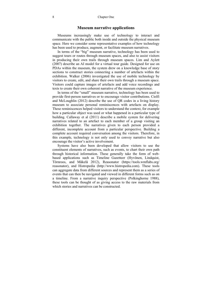#### **Museum narrative applications**

Museums increasingly make use of technology to interact and communicate with the public both inside and outside the physical museum space. Here we consider some representative examples of how technology has been used to produce, augment, or facilitate museum narratives.

In terms of the "big" museum narrative, technology has been used to suggest tours or routes through museum spaces, and also to assist visitors in producing their own trails through museum spaces. Lim and Aylett (2007) describe an AI model for a virtual tour guide. Designed for use on PDAs within the museum, the system drew on a knowledge base of story sections to construct stories connecting a number of artefacts within the exhibition. Walker (2006) investigated the use of mobile technology by visitors to create, edit, and share their own trails through a museum space. Visitors could capture images of artefacts and add voice recordings and texts to create their own coherent narrative of the museum experience.

In terms of the "small" museum narrative, technology has been used to provide first-person narratives or to encourage visitor contributions. Ciolfi and McLoughlin (2012) describe the use of QR codes in a living history museum to associate personal reminiscences with artefacts on display. These reminiscences helped visitors to understand the context, for example how a particular object was used or what happened in a particular type of building. Callaway et al (2011) describe a mobile system for delivering narratives related to an artefact to each member of a group visiting an exhibition together. The narratives given to each person provided a different, incomplete account from a particular perspective. Building a complete account required conversation among the visitors. Therefore, in this example, technology is not only used to convey narrative but also encourage the visitor's active involvement.

Systems have also been developed that allow visitors to use the constituent elements of narratives, such as events, to chart their own path through historical information. These generally take the form of webbased applications such as Timeline Gazetteer (Hyvönen, Lindquist, Törnroos, and Mäkelä 2012), Reasonator (https://tools.wmflabs.org/ reasonator), and Histropedia (http://www.histropedia.com). These tools can aggregate data from different sources and represent them as a series of events that can then be navigated and viewed in different forms such as on a timeline. From a narrative inquiry perspective (Polkinghorne 1988), these tools can be thought of as giving access to the raw materials from which stories and narratives can be constructed.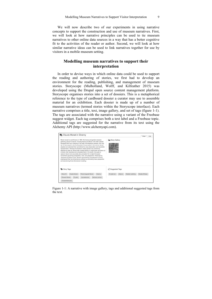We will now describe two of our experiments in using narrative concepts to support the construction and use of museum narratives. First, we will look at how narrative principles can be used to tie museum narratives to other online data sources in a way that has a better cognitive fit to the activities of the reader or author. Second, we will look at how similar narrative ideas can be used to link narratives together for use by visitors in a mobile museum setting.

#### **Modelling museum narratives to support their interpretation**

In order to devise ways in which online data could be used to support the reading and authoring of stories, we first had to develop an environment for the reading, publishing, and management of museum stories. Storyscope (Mulholland, Wolff, and Kilfeather 2015) was developed using the Drupal open source content management platform. Storyscope organises stories into a set of dossiers. This is a metaphorical reference to the type of cardboard dossier a curator may use to assemble material for an exhibition. Each dossier is made up of a number of museum narratives (termed stories within the Storyscope interface). Each narrative comprises a title, text, image gallery, and set of tags (figure 1-1). The tags are associated with the narrative using a variant of the Freebase suggest widget. Each tag comprises both a text label and a Freebase topic. Additional tags are suggested for the narrative from its text using the Alchemy API (http://www.alchemyapi.com).



Figure 1-1: A narrative with image gallery, tags and additional suggested tags from the text*.*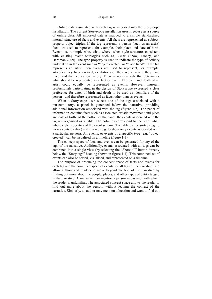Online data associated with each tag is imported into the Storyscope installation. The current Storyscope installation uses Freebase as a source of online data. All imported data is mapped to a simple standardised internal structure of facts and events. All facts are represented as subjectproperty-object triples. If the tag represents a person (such as an artist) facts are used to represent, for example, their place and date of birth. Events use a simple who, what, where, when style structure, consistent with existing event ontologies such as LODE (Shaw, Troncy, and Hardman 2009). The type property is used to indicate the type of activity undertaken in the event such as "object created" or "place lived". If the tag represents an artist, then events are used to represent, for example, artworks they have created, exhibitions of their work, where they have lived, and their education history. There is no clear rule that determines what should be represented as a fact or event. The birth and death of an artist could equally be represented as events. However, museum professionals participating in the design of Storyscope expressed a clear preference for dates of birth and death to be used as identifiers of the person - and therefore represented as facts rather than as events.

When a Storyscope user selects one of the tags associated with a museum story, a panel is generated below the narrative, providing additional information associated with the tag (figure 1-2). The panel of information contains facts such as associated artistic movement and place and date of birth. At the bottom of the panel, the events associated with the tag are organised as a table. The columns correspond to the who, what, where style properties of the event schema. The table can be sorted (e.g. to view events by date) and filtered (e.g. to show only events associated with a particular person). All events, or events of a specific type (e.g. "object created") can be visualised on a timeline (figure 1-3).

The concept space of facts and events can be generated for any of the tags of the narrative. Additionally, events associated with all tags can be combined into a single view (by selecting the "Show all" button directly below the "Story tags" heading shown in figure 1-1). This combined set of events can also be sorted, visualised, and represented on a timeline.

The purpose of producing the concept space of facts and events for each tag and the combined space of events for all tags of the narrative is to allow authors and readers to move beyond the text of the narrative by finding out more about the people, places, and other types of entity tagged in the narrative. A narrative may mention a person in passing, with which the reader is unfamiliar. The associated concept space allows the reader to find out more about the person, without leaving the context of the narrative. Similarly, an author may mention a location and want to find out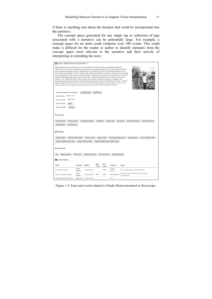if there is anything else about the location that could be incorporated into the narrative.

The concept space generated for any single tag or collection of tags associated with a narrative can be potentially large. For example, a concept space for an artist could comprise over 100 events. This could make it difficult for the reader or author to identify elements from the concept space most relevant to the narrative and their activity of interpreting or extending the story.

| About : Claude Monet (Visual Artist) Q                                                                                                                                                                                                                                                                                                                                                                                                                                                                                                                                                                                                                                                                                                                                                                                                                                                                                                                                                                                                                                                                                                                                            |  |  |  |  |  |  |
|-----------------------------------------------------------------------------------------------------------------------------------------------------------------------------------------------------------------------------------------------------------------------------------------------------------------------------------------------------------------------------------------------------------------------------------------------------------------------------------------------------------------------------------------------------------------------------------------------------------------------------------------------------------------------------------------------------------------------------------------------------------------------------------------------------------------------------------------------------------------------------------------------------------------------------------------------------------------------------------------------------------------------------------------------------------------------------------------------------------------------------------------------------------------------------------|--|--|--|--|--|--|
| Oscar-Claude Monet was a founder of French Impressionist painting, and the most consistent and prolific<br>practitioner of the movement's philosophy of expressing one's perceptions before nature, especially as applied to<br>plein-air landscape painting. The term "Impressionism" is derived from the title of his painting Impression, soleil<br>levant, which was exhibited in 1874 in the first of the independent exhibitions mounted by Monet and his associates<br>as an alternative to the Salon de Paris. Monet's ambition of documenting the French countryside led him to adopt a<br>method of painting the same scene many times in order to capture the changing of light and the passing of the<br>seasons. From 1883 Monet lived in Giverny, where he purchased a house and property, and began a vast<br>landscaping project which included lily ponds that would become the subjects of his best-known works. In 1899 he<br>began painting the water lilies, first in vertical views with a Japanese bridge as a central feature, and later in the<br>series of large-scale paintings that was to occupy him continuously for the next 20 years of his life. |  |  |  |  |  |  |
| Modern art<br>Associated period or movement<br>Impressionism                                                                                                                                                                                                                                                                                                                                                                                                                                                                                                                                                                                                                                                                                                                                                                                                                                                                                                                                                                                                                                                                                                                      |  |  |  |  |  |  |
| 1840-11-14<br>Date of birth                                                                                                                                                                                                                                                                                                                                                                                                                                                                                                                                                                                                                                                                                                                                                                                                                                                                                                                                                                                                                                                                                                                                                       |  |  |  |  |  |  |
| 1926-12-05<br>Date of death                                                                                                                                                                                                                                                                                                                                                                                                                                                                                                                                                                                                                                                                                                                                                                                                                                                                                                                                                                                                                                                                                                                                                       |  |  |  |  |  |  |
| Place of birth<br>Paris                                                                                                                                                                                                                                                                                                                                                                                                                                                                                                                                                                                                                                                                                                                                                                                                                                                                                                                                                                                                                                                                                                                                                           |  |  |  |  |  |  |
| Place of death<br>Giverny                                                                                                                                                                                                                                                                                                                                                                                                                                                                                                                                                                                                                                                                                                                                                                                                                                                                                                                                                                                                                                                                                                                                                         |  |  |  |  |  |  |
| <sup>o</sup> Themes<br>Claude Monet<br>Impressionism<br>Landscape painting<br>Haystacks<br><b>Water Lilies</b><br>Marine art<br>Gare Saint-Lazare<br>Camille Doncieux<br>Poplar Series<br>Rail transport<br><b>6</b> Settings<br>Giverny, 1890 to 1891<br>Venice, 1908<br>Gare Saint-Lazare, 1877<br>Giverny, 1900 to 1901<br>Giverny, 1891<br>Giverny, 1908<br>Giverny, 1904<br>Palace of Westminster, 1904<br>Giverny, 1903 to 1904<br>Palace of Westminster, 1900 to 1901<br><b>O</b> Timelimes                                                                                                                                                                                                                                                                                                                                                                                                                                                                                                                                                                                                                                                                                |  |  |  |  |  |  |
|                                                                                                                                                                                                                                                                                                                                                                                                                                                                                                                                                                                                                                                                                                                                                                                                                                                                                                                                                                                                                                                                                                                                                                                   |  |  |  |  |  |  |
| Object creation<br>Place lived<br>Exhibition creation<br>Book authoring<br>Object ownership<br>All                                                                                                                                                                                                                                                                                                                                                                                                                                                                                                                                                                                                                                                                                                                                                                                                                                                                                                                                                                                                                                                                                |  |  |  |  |  |  |
| Event Space:                                                                                                                                                                                                                                                                                                                                                                                                                                                                                                                                                                                                                                                                                                                                                                                                                                                                                                                                                                                                                                                                                                                                                                      |  |  |  |  |  |  |
| <b>Start</b><br>End<br>Title ≑<br>Activity ≑<br>Agent ≑<br>Location +<br>Tags $\Leftrightarrow$<br>Time $\triangleq$<br>Time $\hat{=}$                                                                                                                                                                                                                                                                                                                                                                                                                                                                                                                                                                                                                                                                                                                                                                                                                                                                                                                                                                                                                                            |  |  |  |  |  |  |
| Tuileries<br>object<br>1876<br>The Tuileries (study)<br>Claude Monet<br>The Tuileries (study), Tuileries Garden<br>creation<br>Garden                                                                                                                                                                                                                                                                                                                                                                                                                                                                                                                                                                                                                                                                                                                                                                                                                                                                                                                                                                                                                                             |  |  |  |  |  |  |
| object<br>Garden at Sainte-Adresse, Sainte-Adresse,<br>Garden at Sainte-Adresse<br>Claude Monet<br>1867<br>1867<br>Sainte-Adresse<br>creation<br>Impressionism                                                                                                                                                                                                                                                                                                                                                                                                                                                                                                                                                                                                                                                                                                                                                                                                                                                                                                                                                                                                                    |  |  |  |  |  |  |
| Claude Monet lived in Paris<br>Paris<br>place lived<br>Claude Monet                                                                                                                                                                                                                                                                                                                                                                                                                                                                                                                                                                                                                                                                                                                                                                                                                                                                                                                                                                                                                                                                                                               |  |  |  |  |  |  |

Figure 1-2: Facts and events related to Claude Monet presented in Storyscope.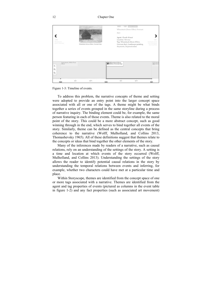| Wheatstack (Snow<br>Effect, Overcast day)<br>Grainstacks, White Frost<br>Effect<br>$\leftarrow$<br>⊕<br>Θ | 1890<br>Wheatstacks<br>(End of Summer) | Lot Ave<br>Wheatstack (Snow Effect, Overcast day) | 1890 - 1891 object creation<br>Wheatstack (Snow Effect, Overcast<br>day)<br>Agent: Claude Monet<br>Location: Giverny<br>Tag: Wheatstack (Snow Effect,<br>Overcast day), Landscape painting,<br>Haystacks, Impressionism | 1891<br>Haystacks at the<br>End of Summer,<br>Morning Effect |
|-----------------------------------------------------------------------------------------------------------|----------------------------------------|---------------------------------------------------|-------------------------------------------------------------------------------------------------------------------------------------------------------------------------------------------------------------------------|--------------------------------------------------------------|
| <b>HIIIIIIIIIIII</b>                                                                                      |                                        |                                                   |                                                                                                                                                                                                                         | Hayst<br>Snow                                                |

Figure 1-3: Timeline of events.

To address this problem, the narrative concepts of theme and setting were adopted to provide an entry point into the larger concept space associated with all or one of the tags. A theme might be what binds together a series of events grouped in the same storyline during a process of narrative inquiry. The binding element could be, for example, the same person featuring in each of those events. Theme is also related to the moral point of the story. This could be a more abstract concept, such as good winning through in the end, which serves to bind together all events of the story. Similarly, theme can be defined as the central concepts that bring coherence to the narrative (Wolff, Mulholland, and Collins 2013, Thomashevsky 1965). All of these definitions suggest that themes relate to the concepts or ideas that bind together the other elements of the story.

Many of the inferences made by readers of a narrative, such as causal relations, rely on an understanding of the settings of the story. A setting is a time and location at which events of the story occurred (Wolff, Mulholland, and Collins 2013). Understanding the settings of the story allows the reader to identify potential causal relations in the story by understanding the temporal relations between events and inferring, for example, whether two characters could have met at a particular time and place.

Within Storyscope, themes are identified from the concept space of one or more tags associated with a narrative. Themes are identified from the agent and tag properties of events (pictured as columns in the event table in figure 1-2) and any fact properties (such as associated art movement)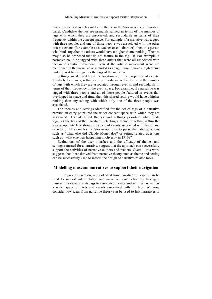that are specified as relevant to the theme in the Storyscope configuration panel. Candidate themes are primarily ranked in terms of the number of tags with which they are associated, and secondarily in terms of their frequency within the concept space. For example, if a narrative was tagged with three people, and one of those people was associated with the other two via events (for example as a teacher or collaborator), then this person who binds together the others would have a higher theme ranking. Themes may also be proposed that do not feature in the tag list. For example, a narrative could be tagged with three artists that were all associated with the same artistic movement. Even if the artistic movement were not mentioned in the narrative or included as a tag, it would have a high theme ranking as it binds together the tags of the narrative.

Settings are derived from the location and time properties of events. Similarly to themes, settings are primarily ranked in terms of the number of tags with which they are associated through events, and secondarily in terms of their frequency in the event space. For example, if a narrative was tagged with three people and all of those people featured in events that overlapped in space and time, then this shared setting would have a higher ranking than any setting with which only one of the three people was associated.

The themes and settings identified for the set of tags of a narrative provide an entry point into the wider concept space with which they are associated. The identified themes and settings prioritise what binds together the tags of the narrative. Selecting a theme or setting within the Storyscope interface shows the space of events associated with that theme or setting. This enables the Storyscope user to purse thematic questions such as "what else did Claude Monet do?" or setting-related questions such as "what else was happening in Giverny in 1916?"

Evaluations of the user interface and the efficacy of themes and settings returned for a narrative, suggest that the approach can successfully support the activities of narrative authors and readers. Overall, this work suggests that ideas derived from narrative theory such as theme and setting can be successfully used to inform the design of narrative-related tools.

#### **Modelling museum narratives to support their navigation**

In the previous section, we looked at how narrative principles can be used to support interpretation and narrative construction by linking a museum narrative and its tags to associated themes and settings, as well as a wider space of facts and events associated with the tags. We now consider how ideas from narrative theory can be used to link narratives to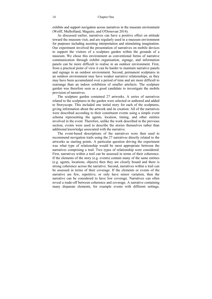exhibits and support navigation across narratives in the museum environment (Wolff, Mulholland, Maguire, and O'Donovan 2014).

As discussed earlier, narratives can have a positive effect on attitude toward the museum visit, and are regularly used in a museum environment for purposes including assisting interpretation and stimulating imagination. Our experiment involved the presentation of narratives on mobile devices to support the visitors of a sculpture garden within the grounds of a museum. We chose this environment as conventional forms of narrative communication through exhibit organisation, signage, and information panels can be more difficult to realise in an outdoor environment. First, from a practical point of view it can be harder to maintain narrative panels and signage in an outdoor environment. Second, permanent sculptures in an outdoor environment may have weaker narrative relationships, as they may have been accumulated over a period of time and are more difficult to rearrange than an indoor exhibition of smaller artefacts. The sculpture garden was therefore seen as a good candidate to investigate the mobile provision of narratives.

The sculpture garden contained 27 artworks. A series of narratives related to the sculptures in the garden were selected or authored and added to Storyscope. This included one initial story for each of the sculptures, giving information about the artwork and its creation. All of the narratives were described according to their constituent events using a simple event schema representing the agents, location, timing, and other entities involved in the event. Therefore, unlike the work described in the previous section, events were used to describe the stories themselves rather than additional knowledge associated with the narrative.

The event-based descriptions of the narratives were then used to recommend navigation trails using the 27 narratives directly related to the artworks as starting points. A particular question driving the experiment was what type of relationship would be most appropriate between the narratives comprising a trail. Two types of relationship were considered. First, narratives within a trail can be assessed in terms of their coherence. If the elements of the story (e.g. events) contain many of the same entities (e.g. agents, locations, objects) then they are closely bound and there is strong coherence across the narrative. Second, narratives within a trail can be assessed in terms of their coverage. If the elements or events of the narrative are few, repetitive, or only have minor variation, then the narrative can be considered to have low coverage. Narratives can often reveal a trade-off between coherence and coverage. A narrative containing many disparate elements, for example events with different settings,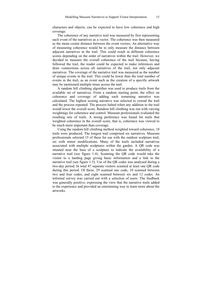characters and objects, can be expected to have low coherence and high coverage.

The coherence of any narrative trail was measured by first representing each event of the narratives as a vector. The coherence was then measured as the mean cosine distance between the event vectors. An alternative way of measuring coherence would be to only measure the distance between adjacent narratives in the trail. This could result in different coherence scores depending on the order of narratives within the trail. However, we decided to measure the overall coherence of the trail because, having followed the trail, the reader could be expected to make inferences and draw connections across all narratives of the trail, not only adjacent narratives. The coverage of the narrative trail was measured as the number of unique events in the trail. This could be lower than the total number of events in the trail, as an event such as the creation of a specific artwork may be mentioned multiple times across the trail.

A random hill climbing algorithm was used to produce trails from the available set of narratives. From a random starting point, the effect on coherence and coverage of adding each remaining narrative was calculated. The highest scoring narrative was selected to extend the trail and the process repeated. The process halted when any addition to the trail would lower the overall score. Random hill climbing was run with varying weightings for coherence and control. Museum professionals evaluated the resulting sets of trails. A strong preference was found for trails that weighted coherence in the overall score, that is, coherence was viewed to be much more important than coverage.

Using the random hill climbing method weighted toward coherence, 18 trails were produced. The longest trail comprised six narratives. Museum professionals selected 15 of these for use with the outdoor sculpture trail, six with minor modifications. Many of the trails included narratives associated with multiple sculptures within the garden. A QR code was situated near the base of a sculpture to indicate the availability of a narrative trail (see figure 1-4). Scanning the QR code would take the visitor to a landing page giving basic information and a link to the narrative trail (see figure 1-5). Use of the QR codes was analysed during a two-day period. In total 47 separate visitors scanned at least one QR code during this period. Of these, 29 scanned one code, 10 scanned between two and four codes, and eight scanned between six and 12 codes. An informal survey was carried out with a selection of users. The feedback was generally positive, expressing the view that the narrative trails added to the experience and provided an entertaining way to learn more about the artworks.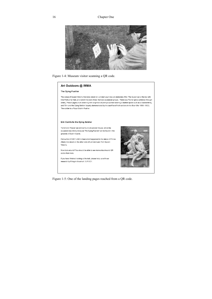

Figure 1-4: Museum visitor scanning a QR code.

#### Art Outdoors @ IMMA

#### The Dying Fusilier

The statue of Queen Victoria that once stood on Leinster Lawn was an elaborate affair. The Queen sat at the top with little Putti at her feet, and below this were three thematic sculptural groups. There was 'Fame' (glory achieved through order), 'Peace' (agriculture crowning with a symbol of plenty a worker wearing a leather apron such as a blacksmith's), and 'Erin and the Dying Soldier' (loyalty demonstrated by the sacrifice of Irish soldiers in the Boer War 1899-1902). The soldier is a Royal Dublin Fusilier.

#### Erin Comforts the Dying Soldier

'Fame' and 'Peace' can still be found at Leinster House, while the sculpture now widely know as 'The Dying Fusilier' can be found in the grounds of Dublin Castle.

Follow this STORY LINK to hear what happened to the statue of Prince Albert, that stood on the other side of Leinster Lawn from Queen Victoria.

Now look around! You should be able to see more artworks and QR codes from here.

If you have finished looking at the trail, please help us with our research by filling in this short SURVEY.



Figure 1-5: One of the landing pages reached from a QR code.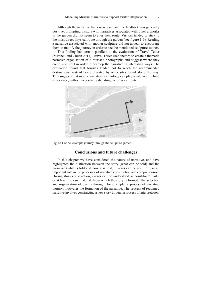Although the narrative trails were used and the feedback was generally positive, prompting visitors with narratives associated with other artworks in the garden did not seem to alter their route. Visitors tended to stick to the most direct physical route through the garden (see figure 1-6). Reading a narrative associated with another sculpture did not appear to encourage them to modify the journey in order to see the mentioned sculpture sooner.

This finding has certain parallels to the evaluation of Travel Teller (Mitchell and Chuah 2013). Travel Teller used themes to create a thematic narrative organisation of a tourist's photographs and suggest where they could visit next in order to develop the narrative in interesting ways. The evaluation found that tourists tended not to reach the recommended destinations, instead being diverted by other sites found along the way. This suggests that mobile narrative technology can play a role in enriching experience, without necessarily dictating the physical route.



Figure 1-6: An example journey through the sculpture garden.

#### **Conclusions and future challenges**

In this chapter we have considered the nature of narrative, and have highlighted the distinction between the story (what can be told) and the narrative (what is told and how it is told). Events can be seen to play an important role in the processes of narrative construction and comprehension. During story construction, events can be understood as constituent parts, or at least the raw material, from which the story is formed. The selection and organisation of events through, for example, a process of narrative inquiry, motivates the formation of the narrative. The process of reading a narrative involves constructing a new story through a process of interpretation.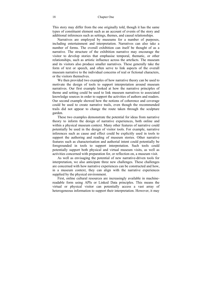This story may differ from the one originally told, though it has the same types of constituent element such as an account of events of the story and additional inferences such as settings, themes, and causal relationships.

Narratives are employed by museums for a number of purposes, including entertainment and interpretation. Narratives can also take a number of forms. The overall exhibition can itself be thought of as a narrative. The structure of the exhibition narrative may encourage the visitor to develop stories that emphasise temporal, thematic, or other relationships, such as artistic influence across the artefacts. The museum and its visitors also produce smaller narratives. These generally take the form of text or speech, and often serve to link aspects of the overall museum narrative to the individual concerns of real or fictional characters, or the visitors themselves.

We then provided two examples of how narrative theory can be used to motivate the design of tools to support interpretation around museum narratives. Our first example looked at how the narrative principles of theme and setting could be used to link museum narratives to associated knowledge sources in order to support the activities of authors and readers. Our second example showed how the notions of coherence and coverage could be used to create narrative trails, even though the recommended trails did not appear to change the route taken through the sculpture garden.

These two examples demonstrate the potential for ideas from narrative theory to inform the design of narrative experiences, both online and within a physical museum context. Many other features of narrative could potentially be used in the design of visitor tools. For example, narrative inferences such as cause and effect could be explicitly used in tools to support the authoring and reading of museum stories. Other narrative features such as characterisation and authorial intent could potentially be foregrounded in tools to support interpretation. Such tools could potentially support both physical and virtual museum visits, as well as activities concerned with preparation for, or reflection on, a museum visit.

As well as envisaging the potential of new narrative-driven tools for interpretation, we also anticipate three new challenges. These challenges are concerned with how narrative experiences can be constructed and how, in a museum context, they can align with the narrative experiences supplied by the physical environment.

First, online cultural resources are increasingly available in machinereadable form using APIs or Linked Data principles. This means the virtual or physical visitor can potentially access a vast array of heterogeneous information to support their interpretation. However, it may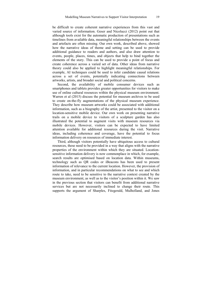be difficult to create coherent narrative experiences from this vast and varied source of information. Geser and Nicolucci (2012) point out that although tools exist for the automatic production of presentations such as timelines from available data, meaningful relationships between the events and artefacts are often missing. Our own work, described above, showed how the narrative ideas of theme and setting can be used to provide additional guidance to readers and authors, and also draw attention to events, people, places, times, and objects that help to bind together the elements of the story. This can be used to provide a point of focus and create coherence across a varied set of data. Other ideas from narrative theory could also be applied to highlight meaningful relationships. For example, AI techniques could be used to infer candidate causal relations across a set of events, potentially indicating connections between artworks, artists, and broader social and political concerns.

Second, the availability of mobile consumer devices such as smartphones and tablets provides greater opportunities for visitors to make use of online cultural resources within the physical museum environment. Warren et al (2015) discuss the potential for museum archives to be used to create on-the-fly augmentations of the physical museum experience. They describe how museum artworks could be associated with additional information, such as a biography of the artist, presented to the visitor on a location-sensitive mobile device. Our own work on presenting narrative trails on a mobile device to visitors of a sculpture garden has also illustrated the potential to augment visits with museum resources via mobile devices. However, visitors can be expected to have limited attention available for additional resources during the visit. Narrative ideas, including coherence and coverage, have the potential to focus information delivery on resources of immediate interest.

Third, although visitors potentially have ubiquitous access to cultural resources, these need to be provided in a way that aligns with the narrative properties of the environment within which they are situated. Locationsensitive information delivery is now commonplace in which, for example, search results are optimised based on location data. Within museums, technology such as QR codes or iBeacons has been used to present information of relevance to the current location. However, the provision of information, and in particular recommendations on what to see and which route to take, need to be sensitive to the narrative context created by the museum environment, as well as to the visitor's position within it. We saw in the previous section that visitors can benefit from additional narrative services but are not necessarily inclined to change their route. This supports the argument of Sharples, Fitzgerald, Mulholland, and Jones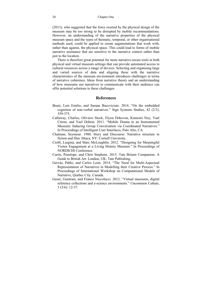(2013), who suggested that the force exerted by the physical design of the museum may be too strong to be disrupted by mobile recommendations. However, an understanding of the narrative properties of the physical museum space and the types of thematic, temporal, or other organisational methods used, could be applied to create augmentations that work with, rather than against, the physical space. This could lead to forms of mobile narrative assistance that are sensitive to the narrative context rather than just to the location.

There is therefore great potential for more narrative-aware tools in both physical and virtual museum settings that can provide automated access to cultural resources across a range of devices. Selecting and organising large and varied sources of data and aligning these with the narrative characteristics of the museum environment introduces challenges in terms of narrative coherence. Ideas from narrative theory and an understanding of how museums use narratives to communicate with their audience can offer potential solutions to these challenges.

#### **References**

- Bruni, Luis Emilio, and Sarune Baceviciute. 2014. "On the embedded cognition of non-verbal narratives." Sign Systems Studies, 42 (2/3), 359-375.
- Callaway, Charles, Oliviero Stock, Elyon Dekoven, Kinneret Noy, Yael Citron, and Yael Dobrin. 2011. "Mobile Drama in an Instrumented Museum: Inducing Group Conversation via Coordinated Narratives." In Proceedings of Intelligent User Interfaces, Palo Alto, CA.
- Chatman, Seymour. 1980. Story and Discourse: Narrative structure in fiction and film. Ithaca, NY: Cornell University.
- Ciolfi, Luigina, and Marc McLoughlin. 2012. "Designing for Meaningful Visitor Engagement at a Living History Museum." In Proceedings of NORDICHI Conference.
- Curtis, Penelope, and Chris Stephens. 2013. Tate Britain Companion: A Guide to British Art. London, UK: Tate Publishing.
- Gervás, Pablo, and Carlos León. 2014. "The Need for Multi-Aspectual Representation of Narratives in Modelling their Creative Process." In Proceedings of International Workshop on Computational Models of Narrative, Quebec City, Canada.
- Geser, Guntram, and Franco Niccolucci. 2012. "Virtual museums, digital reference collections and e-science environments." Uncommon Culture, 3 (5/6): 12-37.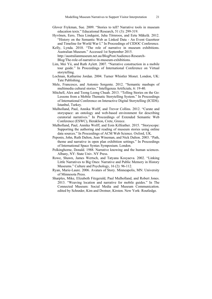- Glover Frykman, Sue. 2009. "Stories to tell? Narrative tools in museum education texts." Educational Research, 51 (3): 299-319.
- Hyvönen, Eero, Thea Lindquist, Juha Törnroos, and Eetu Mäkelä. 2012. "History on the Semantic Web as Linked Data - An Event Gazetteer and Timeline for World War I." In Proceedings of CIDOC Conference.
- Kelly, Lynda. 2010. "The role of narrative in museum exhibitions. Australian Museum." Accessed 1st September 2015. http://australianmuseum.net.au/BlogPost/Audience-Research-Blog/The-role-of-narrative-in-museum-exhibitions.
- Lim, Mei Yii, and Ruth Aylett. 2007. "Narrative construction in a mobile tour guide." In Proceedings of International Conference on Virtual storytelling.
- Lochnan, Katharine Jordan. 2004. Turner Whistler Monet. London, UK: Tate Publishing.
- Mele, Francesco, and Antonio Sorgente. 2012. "Semantic mashups of multimedia cultural stories." Intelligenza Artificiale, 6: 19-40.
- Mitchell, Alex and Teong Leong Chuah. 2013. "Telling Stories on the Go: Lessons from a Mobile Thematic Storytelling System." In Proceedings of International Conference on Interactive Digital Storytelling (ICIDS). Istanbul, Turkey.
- Mulholland, Paul, Annika Wolff, and Trevor Collins. 2012. "Curate and storyspace: an ontology and web-based environment for describing curatorial narratives." In Proceedings of Extended Semantic Web Conference (ESWC), Heraklion, Crete, Greece.
- Mulholland, Paul, Annika Wolff, and Eoin Kilfeather. 2015. "Storyscope: Supporting the authoring and reading of museum stories using online data sources." In Proceedings of ACM Web Science. Oxford, UK.
- Peponis, John, Ruth Dalton, Jean Wineman, and Nick Dalton. 2003. "Path, theme and narrative in open plan exhibition settings." In Proceedings of International Space Syntax Symposium. London.
- Polkinghorne, Donald. 1988. Narrative knowing and the human sciences. Albany, NY: State Univ. NY Press.
- Rowe, Shawn, James Wertsch, and Tatyana Kosyaeva. 2002. "Linking Little Narratives to Big Ones: Narrative and Public Memory in History Museums." Culture and Psychology, 16 (2): 96-112.
- Ryan, Marie-Laure. 2006. Avatars of Story. Minneapolis, MN: University of Minnesota Press.
- Sharples, Mike, Elizabeth Fitzgerald, Paul Mulholland, and Robert Jones. 2013. "Weaving location and narrative for mobile guides." In The Connected Museum: Social Media and Museum Communication. edited by Schrøder, Kim and Drotner, Kirsten. New York: Routledge.